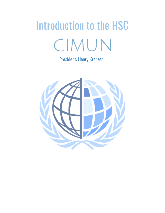## Introduction to the HSC CIMUN

President: Henry Krenzer

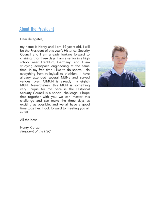## **About the President**

Dear delegates,

my name is Henry and I am 19 years old. I will be the President of this year's Historical Security Council and I am already looking forward to chairing it for three days. I am a senior in a high school near Frankfurt, Germany, and I am studying aerospace engineering at the same time. In my free time I like to do sports, I do everything from volleyball to triathlon. I have already attended several MUNs and served various roles, CIMUN is already my eighth MUN. Nevertheless, this MUN is something very unique for me because the Historical Security Council is a special challenge. I hope that together with you we can master this challenge and can make the three days as exciting as possible, and we all have a good time together. I look forward to meeting you all in fall.



All the best

Henry Krenzer President of the HSC